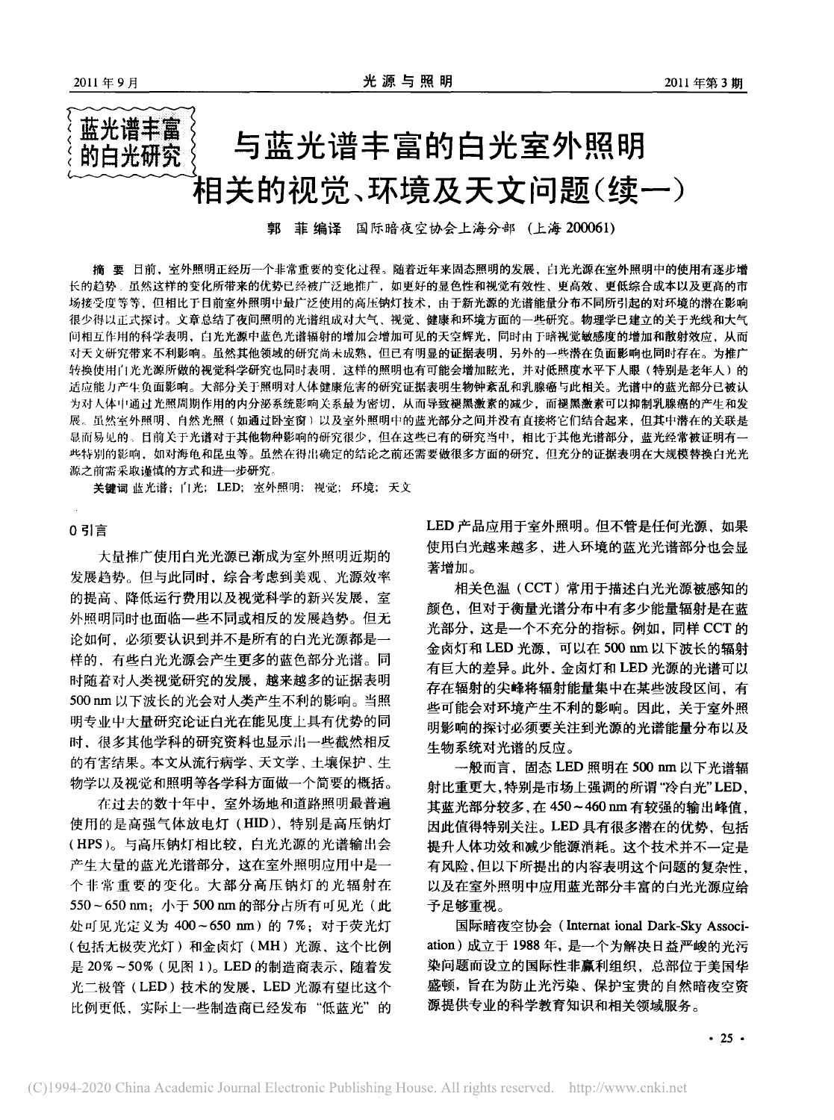# 蓝光谱丰富 与蓝光谱丰富的白光室外照明 的白光研究 相关的视觉、环境及天文问题(续一)

郭 菲 编译 国际暗夜空协会上海分部 (上海 200061)

摘 要 目前, 室外照明正经历一个非常重要的变化过程。随着近年来固态照明的发展, 白光光源在室外照明中的使用有逐步增 长的趋势。虽然这样的变化所带来的优势已经被广泛地推广,如更好的显色性和视觉有效性、更高效、更低综合成本以及更高的市 场接受度等等,但相比于目前室外照明中最广泛使用的高压钠灯技术,由于新光源的光谱能量分布不同所引起的对环境的潜在影响 很少得以正式探讨。文章总结了夜间照明的光谱组成对大气、视觉、健康和环境方面的一些研究。物理学已建立的关于光线和大气 间相互作用的科学表明,白光光源中蓝色光谱辐射的增加会增加可见的天空辉光,同时由于暗视觉敏感度的增加和散射效应,从而 对天文研究带来不利影响。虽然其他领域的研究尚未成熟,但已有明显的证据表明,另外的一些潜在负面影响也同时存在。为推广 转换使用白光光源所做的视觉科学研究也同时表明,这样的照明也有可能会增加眩光,并对低照度水平下人眼(特别是老年人)的 适应能力产生负面影响。大部分关于照明对人体健康危害的研究证据表明生物钟紊乱和乳腺癌与此相关。光谱中的蓝光部分已被认 为对人体中通过光照周期作用的内分泌系统影响关系最为密切,从而导致褪黑激素的减少,而褪黑激素可以抑制乳腺癌的产生和发 展。虽然室外照明、自然光照(如通过卧室窗)以及室外照明中的蓝光部分之间并没有直接将它们结合起来,但其中潜在的关联是 显而易见的。目前关于光谱对于其他物种影响的研究很少,但在这些已有的研究当中,相比于其他光谱部分,蓝光经常被证明有一 些特别的影响,如对海龟和昆虫等。虽然在得出确定的结论之前还需要做很多方面的研究,但充分的证据表明在大规模替换白光光 源之前需采取谨慎的方式和进一步研究。

关键词 蓝光谱; 门光; LED; 室外照明; 视觉; 环境; 天文

#### 0 引言

大量推广使用白光光源已渐成为室外照明近期的 发展趋势。但与此同时, 综合考虑到美观、光源效率 的提高、降低运行费用以及视觉科学的新兴发展,室 外照明同时也面临一些不同或相反的发展趋势。但无 论如何, 必须要认识到并不是所有的白光光源都是一 样的,有些白光光源会产生更多的蓝色部分光谱。同 时随着对人类视觉研究的发展,越来越多的证据表明 500 nm 以下波长的光会对人类产生不利的影响。当照 明专业中大量研究论证白光在能见度上具有优势的同 时、很多其他学科的研究资料也显示出一些截然相反 的有害结果。本文从流行病学、天文学、土壤保护、生 物学以及视觉和照明等各学科方面做一个简要的概括。

在过去的数十年中,室外场地和道路照明最普遍 使用的是高强气体放电灯(HID),特别是高压钠灯 (HPS)。与高压钠灯相比较, 白光光源的光谱输出会 产生大量的蓝光光谱部分,这在室外照明应用中是一 个非常重要的变化。大部分高压钠灯的光辐射在 550~650 nm; 小于 500 nm 的部分占所有可见光(此 处可见光定义为 400~650 nm) 的 7%; 对于荧光灯 (包括无极荧光灯)和金卤灯(MH)光源,这个比例 是 20%~50% (见图 1)。 LED 的制造商表示, 随着发 光二极管(LED)技术的发展, LED 光源有望比这个 比例更低, 实际上一些制造商已经发布"低蓝光"的 LED 产品应用于室外照明。但不管是任何光源, 如果 使用白光越来越多,进入环境的蓝光光谱部分也会显 著增加。

相关色温(CCT)常用于描述白光光源被感知的 颜色,但对于衡量光谱分布中有多少能量辐射是在蓝 光部分, 这是一个不充分的指标。例如, 同样 CCT 的 金卤灯和 LED 光源, 可以在 500 nm 以下波长的辐射 有巨大的差异。此外,金卤灯和 LED 光源的光谱可以 存在辐射的尖峰将辐射能量集中在某些波段区间,有 些可能会对环境产生不利的影响。因此,关于室外照 明影响的探讨必须要关注到光源的光谱能量分布以及 生物系统对光谱的反应。

一般而言, 固态 LED 照明在 500 nm 以下光谱辐 射比重更大,特别是市场上强调的所谓"冷白光"LED, 其蓝光部分较多,在450~460nm有较强的输出峰值, 因此值得特别关注。LED 具有很多潜在的优势,包括 提升人体功效和减少能源消耗。这个技术并不一定是 有风险,但以下所提出的内容表明这个问题的复杂性, 以及在室外照明中应用蓝光部分丰富的白光光源应给 予足够重视。

国际暗夜空协会 (Internat ional Dark-Sky Association)成立于 1988年,是一个为解决日益严峻的光污 染问题而设立的国际性非赢利组织,总部位于美国华 盛顿,旨在为防止光污染、保护宝贵的自然暗夜空资 源提供专业的科学教育知识和相关领域服务。

 $-25$   $-$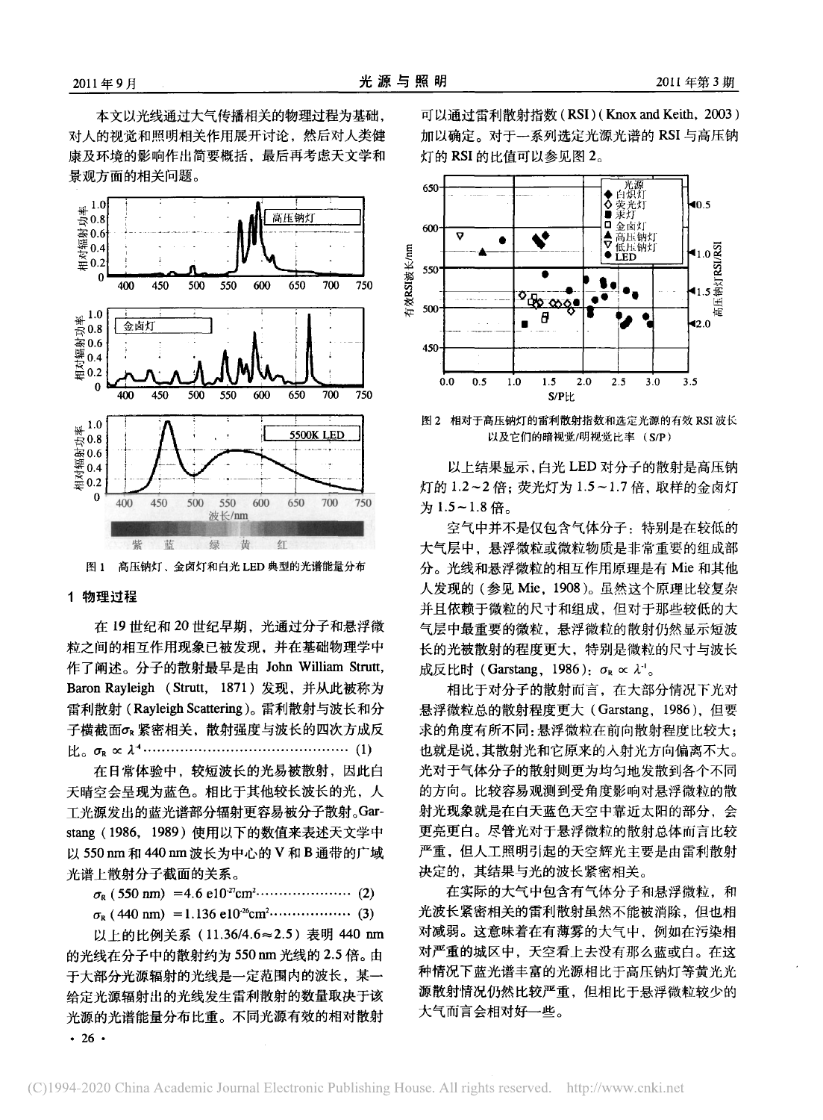本文以光线通过大气传播相关的物理过程为基础, 对人的视觉和照明相关作用展开讨论,然后对人类健 康及环境的影响作出简要概括,最后再考虑天文学和 景观方面的相关问题。



图 1 高压钠灯、金卤灯和白光 LED 典型的光谱能量分布

# 1 物理过程

在 19世纪和 20世纪早期,光通过分子和悬浮微 粒之间的相互作用现象已被发现,并在基础物理学中 作了阐述。分子的散射最早是由 John William Strutt, Baron Rayleigh (Strutt, 1871) 发现, 并从此被称为 雷利散射 (Rayleigh Scattering)。雷利散射与波长和分 子横截面σR紧密相关,散射强度与波长的四次方成反 

在日常体验中,较短波长的光易被散射,因此白 天晴空会呈现为蓝色。相比于其他较长波长的光,人 工光源发出的蓝光谱部分辐射更容易被分子散射。Garstang (1986, 1989) 使用以下的数值来表述天文学中 以 550 nm 和 440 nm 波长为中心的 V 和 B 通带的广域 光谱上散射分子截面的关系。

以上的比例关系 (11.36/4.6≈2.5) 表明 440 nm 的光线在分子中的散射约为 550 nm 光线的 2.5 倍。由 于大部分光源辐射的光线是一定范围内的波长,某一 给定光源辐射出的光线发生雷利散射的数量取决于该 光源的光谱能量分布比重。不同光源有效的相对散射  $\cdot$  26  $\cdot$ 

可以通过雷利散射指数 (RSI) (Knox and Keith, 2003) 加以确定。对于一系列选定光源光谱的 RSI 与高压钠 灯的 RSI 的比值可以参见图 2。



图 2 相对于高压钠灯的雷利散射指数和选定光源的有效 RSI 波长 以及它们的暗视觉/明视觉比率 (S/P)

以上结果显示, 白光 LED 对分子的散射是高压钠 灯的 1.2~2倍; 荧光灯为 1.5~1.7倍, 取样的金卤灯 为1.5~1.8倍。

空气中并不是仅包含气体分子: 特别是在较低的 大气层中, 悬浮微粒或微粒物质是非常重要的组成部 分。光线和悬浮微粒的相互作用原理是有 Mie 和其他 人发现的(参见 Mie, 1908)。虽然这个原理比较复杂 并且依赖于微粒的尺寸和组成,但对于那些较低的大 气层中最重要的微粒, 悬浮微粒的散射仍然显示短波 长的光被散射的程度更大, 特别是微粒的尺寸与波长 成反比时 (Garstang, 1986):  $\sigma_R \propto \lambda^{-1}$ .

相比于对分子的散射而言, 在大部分情况下光对 悬浮微粒总的散射程度更大 (Garstang, 1986), 但要 求的角度有所不同:悬浮微粒在前向散射程度比较大; 也就是说,其散射光和它原来的入射光方向偏离不大。 光对于气体分子的散射则更为均匀地发散到各个不同 的方向。比较容易观测到受角度影响对悬浮微粒的散 射光现象就是在白天蓝色天空中靠近太阳的部分,会 更亮更白。尽管光对于悬浮微粒的散射总体而言比较 严重,但人工照明引起的天空辉光主要是由雷利散射 决定的,其结果与光的波长紧密相关。

在实际的大气中包含有气体分子和悬浮微粒,和 光波长紧密相关的雷利散射虽然不能被消除,但也相 对减弱。这意味着在有薄雾的大气中, 例如在污染相 对严重的城区中,天空看上去没有那么蓝或白。在这 种情况下蓝光谱丰富的光源相比于高压钠灯等黄光光 源散射情况仍然比较严重,但相比于悬浮微粒较少的 大气而言会相对好一些。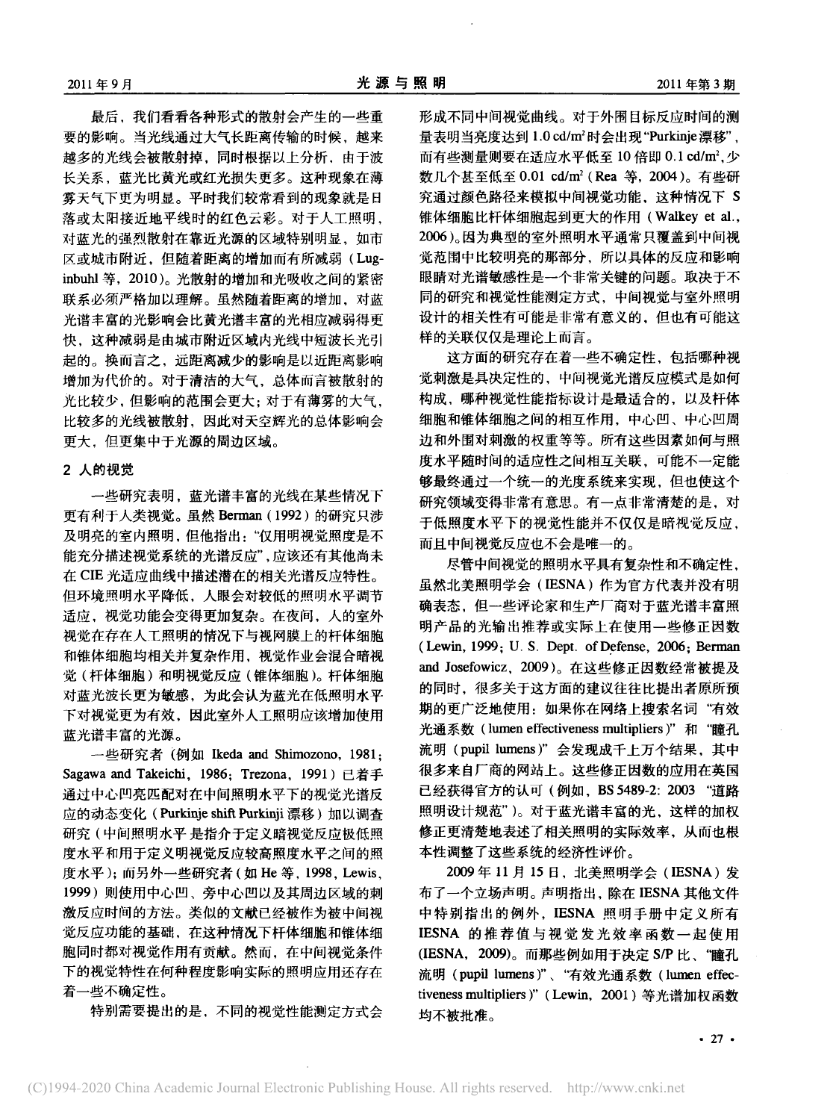最后,我们看看各种形式的散射会产生的一些重 要的影响。当光线通过大气长距离传输的时候,越来 越多的光线会被散射掉, 同时根据以上分析, 由于波 长关系, 蓝光比黄光或红光损失更多。这种现象在薄 雾天气下更为明显。平时我们较常看到的现象就是日 落或太阳接近地平线时的红色云彩。对于人工照明, 对蓝光的强烈散射在靠近光源的区域特别明显、如市 区或城市附近,但随着距离的增加而有所减弱(Luginbuhl 等, 2010)。光散射的增加和光吸收之间的紧密 联系必须严格加以理解。虽然随着距离的增加,对蓝 光谱丰富的光影响会比黄光谱丰富的光相应减弱得更 快。这种减弱是由城市附近区域内光线中短波长光引 起的。换而言之,远距离减少的影响是以近距离影响 增加为代价的。对于清洁的大气、总体而言被散射的 光比较少,但影响的范围会更大;对于有薄雾的大气, 比较多的光线被散射, 因此对天空辉光的总体影响会 更大, 但更集中于光源的周边区域。

# 2 人的视觉

一些研究表明, 蓝光谱丰富的光线在某些情况下 更有利于人类视觉。虽然 Berman (1992) 的研究只涉 及明亮的室内照明,但他指出:"仅用明视觉照度是不 能充分描述视觉系统的光谱反应",应该还有其他尚未 在 CIE 光适应曲线中描述潜在的相关光谱反应特性。 但环境照明水平降低,人眼会对较低的照明水平调节 适应, 视觉功能会变得更加复杂。在夜间, 人的室外 视觉在存在人工照明的情况下与视网膜上的杆体细胞 和锥体细胞均相关并复杂作用, 视觉作业会混合暗视 觉(杆体细胞)和明视觉反应(锥体细胞)。杆体细胞 对蓝光波长更为敏感,为此会认为蓝光在低照明水平 下对视觉更为有效,因此室外人工照明应该增加使用 蓝光谱丰富的光源。

一些研究者 (例如 Ikeda and Shimozono, 1981: Sagawa and Takeichi, 1986; Trezona, 1991) 已着手 通过中心凹亮匹配对在中间照明水平下的视觉光谱反 应的动态变化(Purkinje shift Purkinji 漂移)加以调查 研究(中间照明水平 是指介于定义暗视觉反应极低照 度水平和用于定义明视觉反应较高照度水平之间的照 度水平);而另外一些研究者(如 He 等, 1998, Lewis, 1999) 则使用中心凹、旁中心凹以及其周边区域的刺 激反应时间的方法。类似的文献已经被作为被中间视 觉反应功能的基础, 在这种情况下杆体细胞和锥体细 胞同时都对视觉作用有贡献。然而, 在中间视觉条件 下的视觉特性在何种程度影响实际的照明应用还存在 着一些不确定性。

特别需要提出的是,不同的视觉性能测定方式会

形成不同中间视觉曲线。对于外围目标反应时间的测 量表明当亮度达到1.0 cd/m2时会出现"Purkinje漂移", 而有些测量则要在活应水平低至10倍即 0.1 cd/m2. 少 数几个甚至低至 0.01 cd/m<sup>2</sup> (Rea 等, 2004)。有些研 究通过颜色路径来模拟中间视觉功能,这种情况下 S 锥体细胞比杆体细胞起到更大的作用(Walkey et al., 2006)。因为典型的室外照明水平通常只覆盖到中间视 觉范围中比较明亮的那部分,所以具体的反应和影响 眼睛对光谱敏感性是一个非常关键的问题。取决于不 同的研究和视觉性能测定方式,中间视觉与室外照明 设计的相关性有可能是非常有意义的。但也有可能这 样的关联仅仅是理论上而言。

这方面的研究存在着一些不确定性,包括哪种视 觉刺激是具决定性的、中间视觉光谱反应模式是如何 构成, 哪种视觉性能指标设计是最适合的, 以及杆体 细胞和锥体细胞之间的相互作用,中心凹、中心凹周 边和外围对刺激的权重等等。所有这些因素如何与照 度水平随时间的适应性之间相互关联,可能不一定能 够最终通过一个统一的光度系统来实现,但也使这个 研究领域变得非常有意思。有一点非常清楚的是, 对 于低照度水平下的视觉性能并不仅仅是暗视觉反应, 而且中间视觉反应也不会是唯一的。

尽管中间视觉的照明水平具有复杂性和不确定性, 虽然北美照明学会(IESNA)作为官方代表并没有明 确表态,但一些评论家和生产厂商对于蓝光谱丰富照 明产品的光输出推荐或实际上在使用一些修正因数 (Lewin, 1999; U.S. Dept. of Defense, 2006; Berman and Josefowicz, 2009)。在这些修正因数经常被提及 的同时,很多关于这方面的建议往往比提出者原所预 期的更广泛地使用: 如果你在网络上搜索名词"有效 光通系数 (lumen effectiveness multipliers)"和"瞳孔 流明(pupil lumens)"会发现成千上万个结果,其中 很多来自厂商的网站上。这些修正因数的应用在英国 已经获得官方的认可(例如, BS 5489-2: 2003 "道路 照明设计规范")。对于蓝光谱丰富的光, 这样的加权 修正更清楚地表述了相关照明的实际效率, 从而也根 本性调整了这些系统的经济性评价。

2009年11月15日, 北美照明学会 (IESNA) 发 布了一个立场声明。声明指出, 除在 IESNA 其他文件 中特别指出的例外, IESNA 照明手册中定义所有 IESNA 的推荐值与视觉发光效率函数一起使用 (IESNA, 2009)。而那些例如用于决定 S/P 比、"瞳孔 流明 (pupil lumens)"、"有效光通系数 (lumen effectiveness multipliers)" (Lewin, 2001) 等光谱加权函数 均不被批准。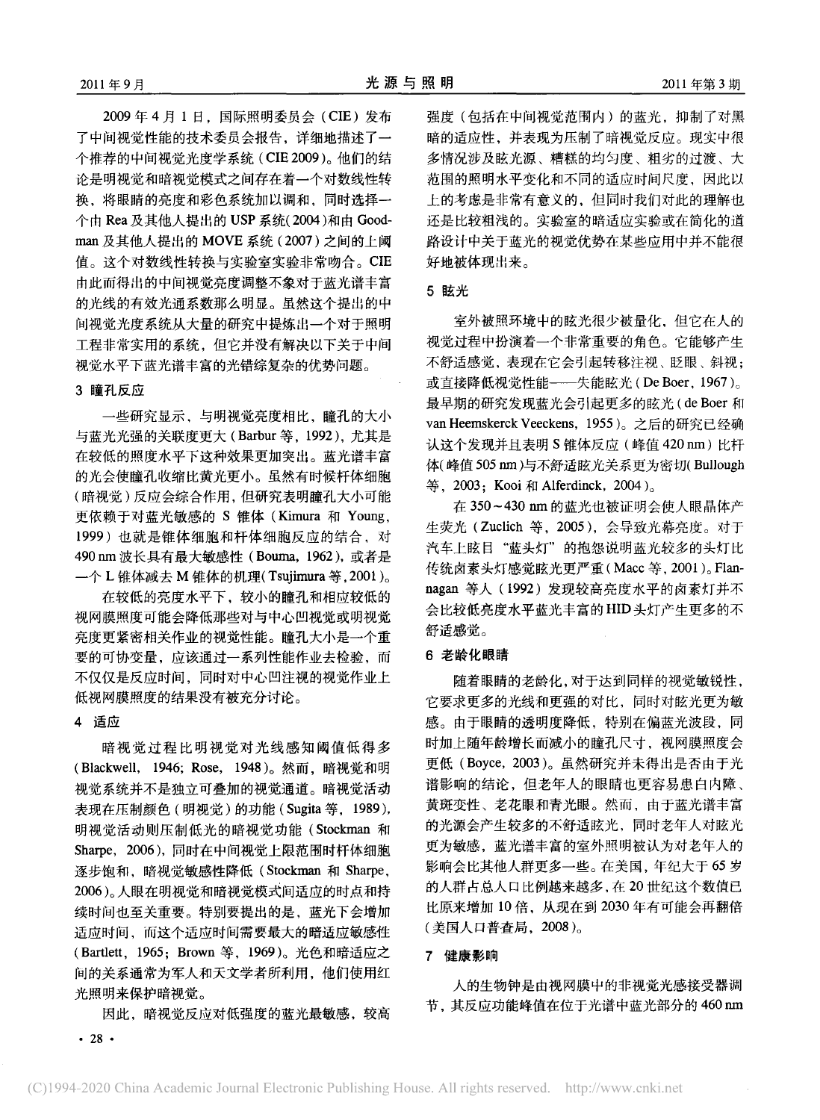2009年4月1日, 国际照明委员会(CIE) 发布 了中间视觉性能的技术委员会报告、详细地描述了一 个推荐的中间视觉光度学系统 (CIE 2009)。他们的结 论是明视觉和暗视觉模式之间存在着一个对数线性转 换,将眼睛的亮度和彩色系统加以调和,同时选择一 个由 Rea 及其他人提出的 USP 系统(2004)和由 Goodman 及其他人提出的 MOVE 系统 (2007) 之间的上阈 值。这个对数线性转换与实验室实验非常吻合。CIE 由此而得出的中间视觉亮度调整不象对于蓝光谱丰富 的光线的有效光通系数那么明显。虽然这个提出的中 间视觉光度系统从大量的研究中提炼出一个对于照明 工程非常实用的系统,但它并没有解决以下关于中间 视觉水平下蓝光谱丰富的光错综复杂的优势问题。

#### 3 瞳孔反应

一些研究显示,与明视觉亮度相比,瞳孔的大小 与蓝光光强的关联度更大 (Barbur 等, 1992), 尤其是 在较低的照度水平下这种效果更加突出。蓝光谱丰富 的光会使瞳孔收缩比黄光更小。虽然有时候杆体细胞 (暗视觉)反应会综合作用, 但研究表明瞳孔大小可能 更依赖于对蓝光敏感的 S 锥体 (Kimura 和 Young, 1999) 也就是锥体细胞和杆体细胞反应的结合, 对 490 nm 波长具有最大敏感性 (Bouma, 1962), 或者是 一个 L 锥体减去 M 锥体的机理(Tsujimura 等, 2001)。

在较低的亮度水平下,较小的瞳孔和相应较低的 视网膜照度可能会降低那些对与中心凹视觉或明视觉 亮度更紧密相关作业的视觉性能。瞳孔大小是一个重 要的可协变量, 应该通过一系列性能作业去检验, 而 不仅仅是反应时间,同时对中心凹注视的视觉作业上 低视网膜照度的结果没有被充分讨论。

# 4 适应

暗视觉过程比明视觉对光线感知阈值低得多 (Blackwell, 1946; Rose, 1948)。然而, 暗视觉和明 视觉系统并不是独立可叠加的视觉通道。暗视觉活动 表现在压制颜色 (明视觉) 的功能 (Sugita 等, 1989), 明视觉活动则压制低光的暗视觉功能(Stockman 和 Sharpe, 2006), 同时在中间视觉上限范围时杆体细胞 逐步饱和, 暗视觉敏感性降低 (Stockman 和 Sharpe, 2006)。人眼在明视觉和暗视觉模式间适应的时点和持 续时间也至关重要。特别要提出的是,蓝光下会增加 适应时间,而这个适应时间需要最大的暗适应敏感性 (Bartlett, 1965; Brown 等, 1969)。光色和暗适应之 间的关系通常为军人和天文学者所利用,他们使用红 光照明来保护暗视觉。

因此,暗视觉反应对低强度的蓝光最敏感,较高

强度(包括在中间视觉范围内)的蓝光, 抑制了对黑 暗的适应性,并表现为压制了暗视觉反应。现实中很 多情况涉及眩光源、糟糕的均匀度、粗劣的过渡、大 范围的照明水平变化和不同的适应时间尺度、因此以 上的考虑是非常有意义的,但同时我们对此的理解也 还是比较粗浅的。实验室的暗适应实验或在简化的道 路设计中关于蓝光的视觉优势在某些应用中并不能很 好地被体现出来。

### 5 眩光

室外被照环境中的眩光很少被量化。但它在人的 视觉过程中扮演着一个非常重要的角色。它能够产生 不舒适感觉,表现在它会引起转移注视、眨眼、斜视: 或直接降低视觉性能 -- 失能眩光 (De Boer, 1967)。 最早期的研究发现蓝光会引起更多的眩光(de Boer 和 van Heemskerck Veeckens, 1955)。之后的研究已经确 认这个发现并且表明 S锥体反应 (峰值 420 nm) 比杆 体(峰值505 nm)与不舒适眩光关系更为密切(Bullough 等, 2003; Kooi 和 Alferdinck, 2004)。

在 350~430 nm 的蓝光也被证明会使人眼晶体产 生荧光 (Zuclich 等, 2005), 会导致光幕亮度。对于 汽车上眩目"蓝头灯"的抱怨说明蓝光较多的头灯比 传统卤素头灯感觉眩光更严重(Macc 等, 2001)。Flannagan 等人 (1992) 发现较高亮度水平的卤素灯并不 会比较低亮度水平蓝光丰富的HID头灯产生更多的不 舒适感觉。

# 6 老龄化眼睛

随着眼睛的老龄化,对于达到同样的视觉敏锐性, 它要求更多的光线和更强的对比,同时对眩光更为敏 感。由于眼睛的透明度降低,特别在偏蓝光波段,同 时加上随年龄增长而减小的瞳孔尺寸, 视网膜照度会 更低 (Boyce, 2003)。虽然研究并未得出是否由于光 谱影响的结论,但老年人的眼睛也更容易患白内障、 黄斑变性、老花眼和青光眼。然而, 由于蓝光谱丰富 的光源会产生较多的不舒适眩光, 同时老年人对眩光 更为敏感, 蓝光谱丰富的室外照明被认为对老年人的 影响会比其他人群更多一些。在美国,年纪大于65岁 的人群占总人口比例越来越多,在20世纪这个数值已 比原来增加 10 倍, 从现在到 2030 年有可能会再翻倍 (美国人口普查局, 2008)。

#### 7 健康影响

人的生物钟是由视网膜中的非视觉光感接受器调 节, 其反应功能峰值在位于光谱中蓝光部分的 460 nm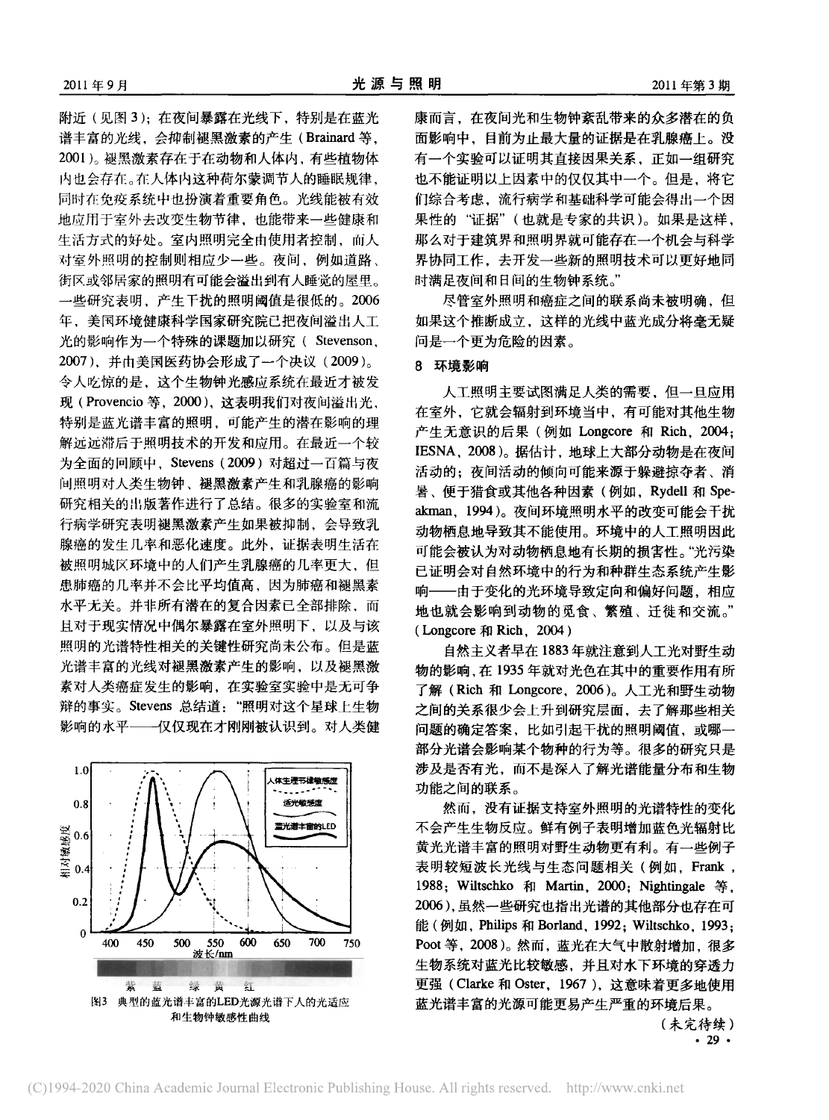附近(见图3);在夜间暴露在光线下,特别是在蓝光 谱丰富的光线、会抑制褪黑激素的产生(Brainard 等, 2001)。褪黑激素存在于在动物和人体内, 有些植物体 内也会存在。在人体内这种荷尔蒙调节人的睡眠规律, 同时在免疫系统中也扮演着重要角色。光线能被有效 地应用于室外去改变生物节律,也能带来一些健康和 生活方式的好处。室内照明完全由使用者控制,而人 对室外照明的控制则相应少一些。夜间,例如道路、 街区或邻居家的照明有可能会溢出到有人睡觉的屋里。 一些研究表明,产生干扰的照明阈值是很低的。2006 年、美国环境健康科学国家研究院已把夜间溢出人工 光的影响作为一个特殊的课题加以研究(Stevenson, 2007), 并由美国医药协会形成了一个决议 (2009)。 令人吃惊的是, 这个生物钟光感应系统在最近才被发 现 (Provencio 等, 2000), 这表明我们对夜间溢出光, 特别是蓝光谱丰富的照明,可能产生的潜在影响的理 解远远滞后于照明技术的开发和应用。在最近一个较 为全面的回顾中, Stevens (2009) 对超过一百篇与夜 间照明对人类生物钟、褪黑激素产生和乳腺癌的影响 研究相关的出版著作进行了总结。很多的实验室和流 行病学研究表明褪黑激素产生如果被抑制,会导致乳 腺癌的发生几率和恶化速度。此外,证据表明生活在 被照明城区环境中的人们产生乳腺癌的几率更大,但 患肺癌的几率并不会比平均值高、因为肺癌和褪黑素 水平无关。并非所有潜在的复合因素已全部排除,而 且对于现实情况中偶尔暴露在室外照明下, 以及与该 照明的光谱特性相关的关键性研究尚未公布。但是蓝 光谱丰富的光线对褪黑激素产生的影响, 以及褪黑激 素对人类癌症发生的影响, 在实验室实验中是无可争 辩的事实。Stevens 总结道: "照明对这个星球上生物 影响的水平 -- 仅仅现在才刚刚被认识到。对人类健



康而言,在夜间光和生物钟紊乱带来的众多潜在的负 面影响中,目前为止最大量的证据是在乳腺癌上。没 有一个实验可以证明其直接因果关系,正如一组研究 也不能证明以上因素中的仅仅其中一个。但是, 将它 们综合考虑,流行病学和基础科学可能会得出一个因 果性的"证据"(也就是专家的共识)。如果是这样, 那么对于建筑界和照明界就可能存在一个机会与科学 界协同工作,去开发一些新的照明技术可以更好地同 时满足夜间和日间的生物钟系统。"

尽管室外照明和癌症之间的联系尚未被明确,但 如果这个推断成立。这样的光线中蓝光成分将毫无疑 问是一个更为危险的因素。

# 8 环境影响

人工照明主要试图满足人类的需要,但一旦应用 在室外, 它就会辐射到环境当中, 有可能对其他生物 产生无意识的后果(例如 Longcore 和 Rich, 2004; IESNA, 2008)。据估计, 地球上大部分动物是在夜间 活动的; 夜间活动的倾向可能来源于躲避掠夺者、消 暑、便于猎食或其他各种因素(例如, Rydell 和 Speakman. 1994)。夜间环境照明水平的改变可能会干扰 动物栖息地导致其不能使用。环境中的人工照明因此 可能会被认为对动物栖息地有长期的损害性。"光污染 已证明会对自然环境中的行为和种群生态系统产生影 响——由于变化的光环境导致定向和偏好问题,相应 地也就会影响到动物的觅食、繁殖、迁徙和交流。" (Longcore 和 Rich, 2004)

自然主义者早在1883年就注意到人工光对野生动 物的影响,在1935年就对光色在其中的重要作用有所 了解 (Rich 和 Longcore, 2006)。人工光和野生动物 之间的关系很少会上升到研究层面, 去了解那些相关 问题的确定答案,比如引起干扰的照明阈值,或哪-部分光谱会影响某个物种的行为等。很多的研究只是 涉及是否有光,而不是深入了解光谱能量分布和生物 功能之间的联系。

然而,没有证据支持室外照明的光谱特性的变化 不会产生生物反应。鲜有例子表明增加蓝色光辐射比 黄光光谱丰富的照明对野生动物更有利。有一些例子 表明较短波长光线与生态问题相关(例如, Frank, 1988; Wiltschko 和 Martin, 2000; Nightingale 等, 2006),虽然一些研究也指出光谱的其他部分也存在可 能(例如, Philips 和 Borland, 1992; Wiltschko, 1993; Poot 等, 2008)。然而, 蓝光在大气中散射增加, 很多 生物系统对蓝光比较敏感,并且对水下环境的穿透力 更强 (Clarke 和 Oster, 1967), 这意味着更多地使用 蓝光谱丰富的光源可能更易产生严重的环境后果。

> (未完待续)  $.29.$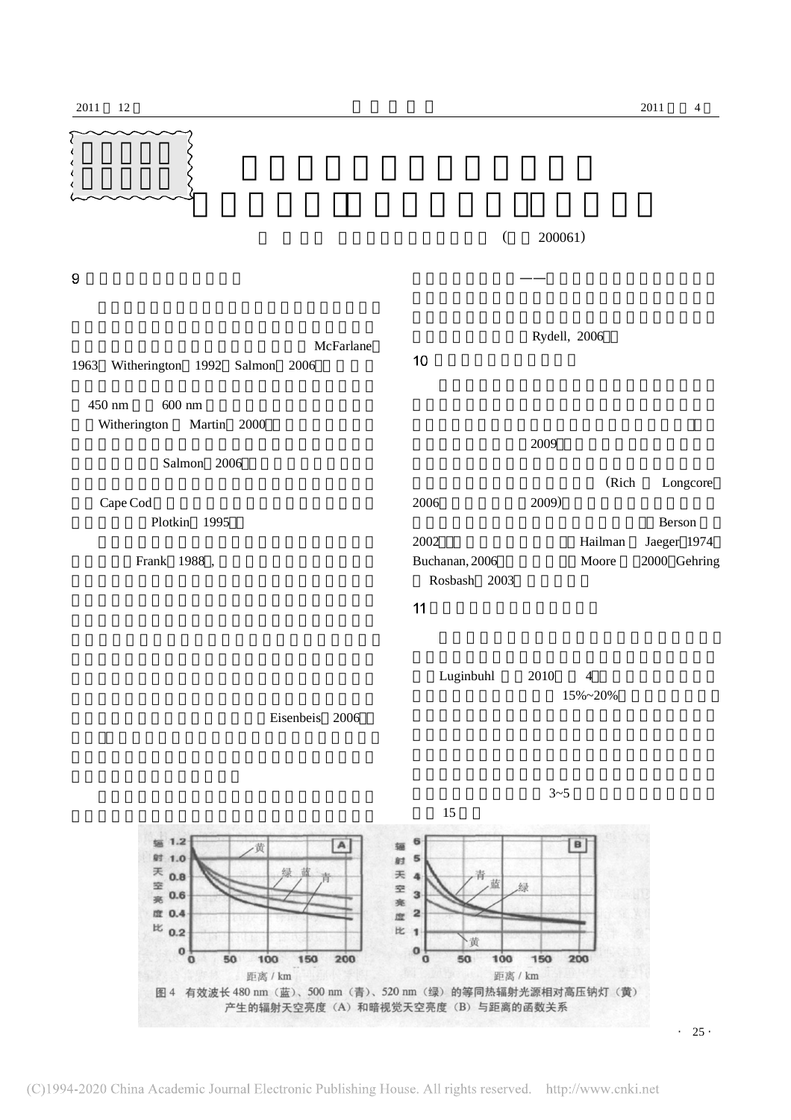



 $\cdot$  25  $\cdot$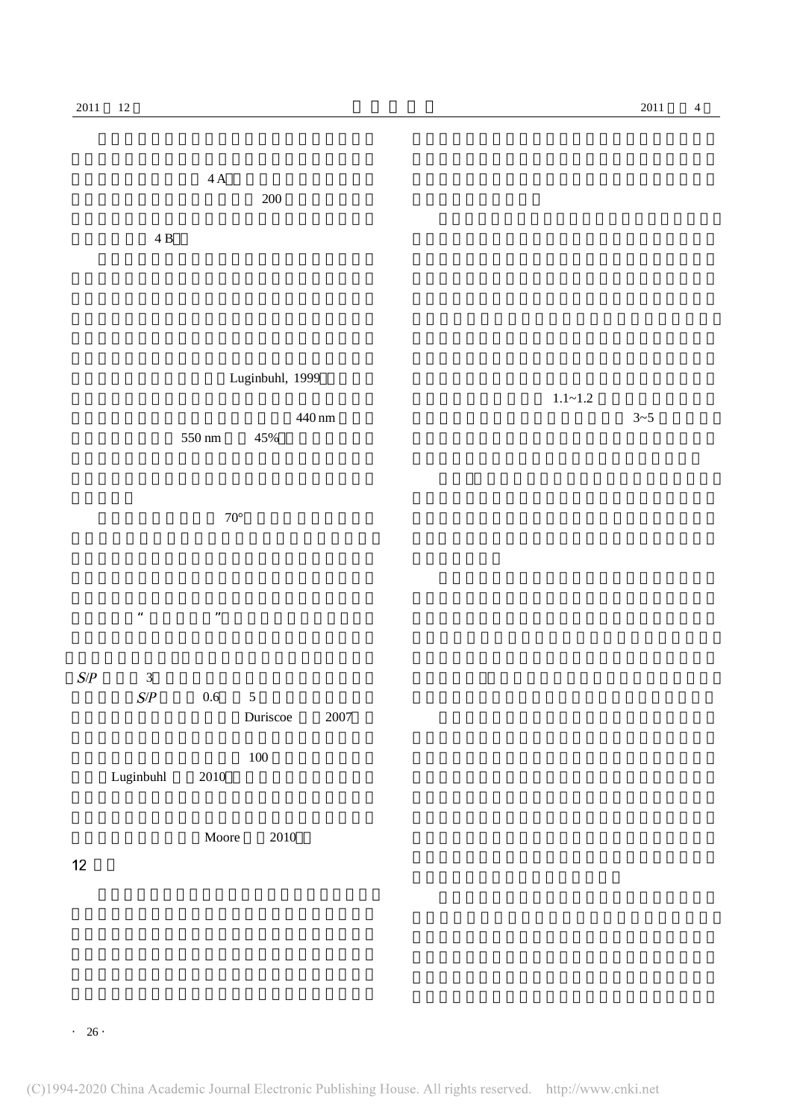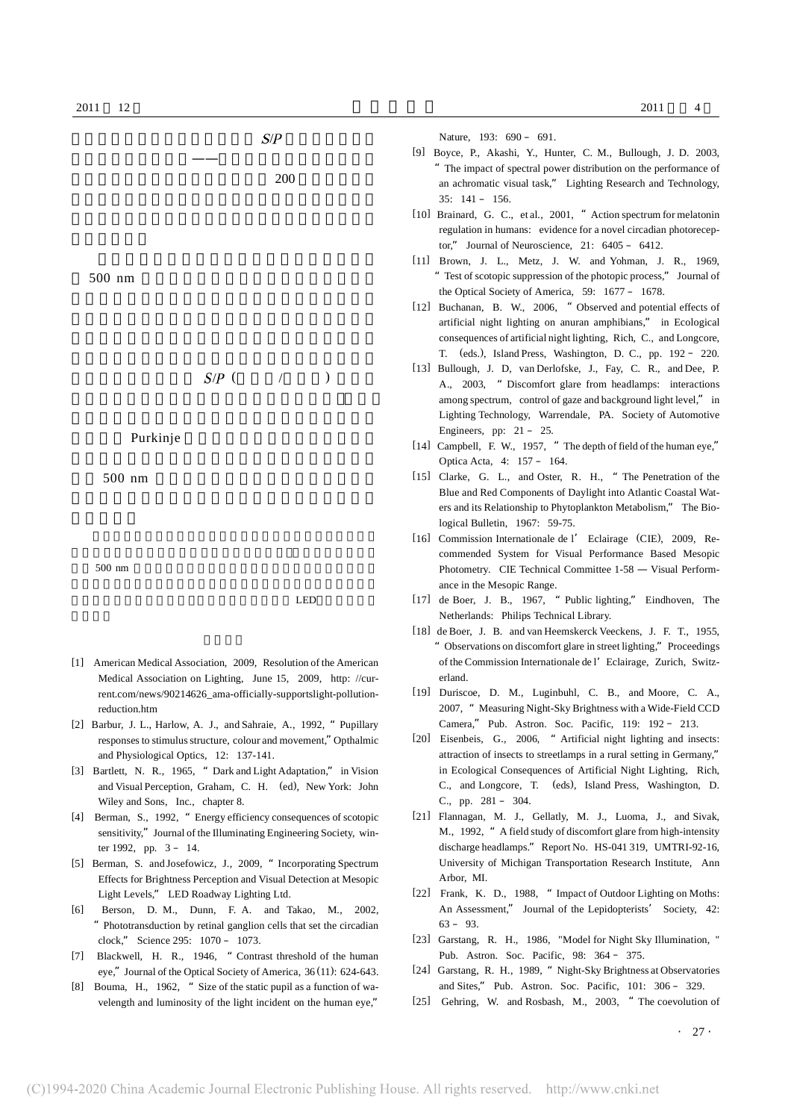

- [4] Berman, S., 1992, "Energy efficiency consequences of scotopic sensitivity," Journal of the Illuminating Engineering Society, winter 1992, pp. 3 – 14.
- [5] Berman, S. and Josefowicz, J., 2009, "Incorporating Spectrum Effects for Brightness Perception and Visual Detection at Mesopic Light Levels," LED Roadway Lighting Ltd.
- [6] Berson, D. M., Dunn, F. A. and Takao, M., 2002, "Phototransduction by retinal ganglion cells that set the circadian clock," Science 295: 1070 – 1073.
- [7] Blackwell, H. R., 1946, "Contrast threshold of the human eye," Journal of the Optical Society of America, 36 (11): 624-643.
- [8] Bouma, H., 1962, " Size of the static pupil as a function of wavelength and luminosity of the light incident on the human eye,"
- [21] Flannagan, M. J., Gellatly, M. J., Luoma, J., and Sivak, M., 1992, "A field study of discomfort glare from high-intensity discharge headlamps." Report No. HS-041 319, UMTRI-92-16, University of Michigan Transportation Research Institute, Ann Arbor, MI.
- [22] Frank, K. D., 1988, "Impact of Outdoor Lighting on Moths: An Assessment," Journal of the Lepidopterists' Society, 42:  $63 - 93$ .
- [23] Garstang, R. H., 1986, "Model for Night Sky Illumination, " Pub. Astron. Soc. Pacific, 98: 364 – 375.
- [24] Garstang, R. H., 1989, "Night-Sky Brightness at Observatories and Sites," Pub. Astron. Soc. Pacific, 101: 306 – 329.
- [25] Gehring, W. and Rosbash, M., 2003, "The coevolution of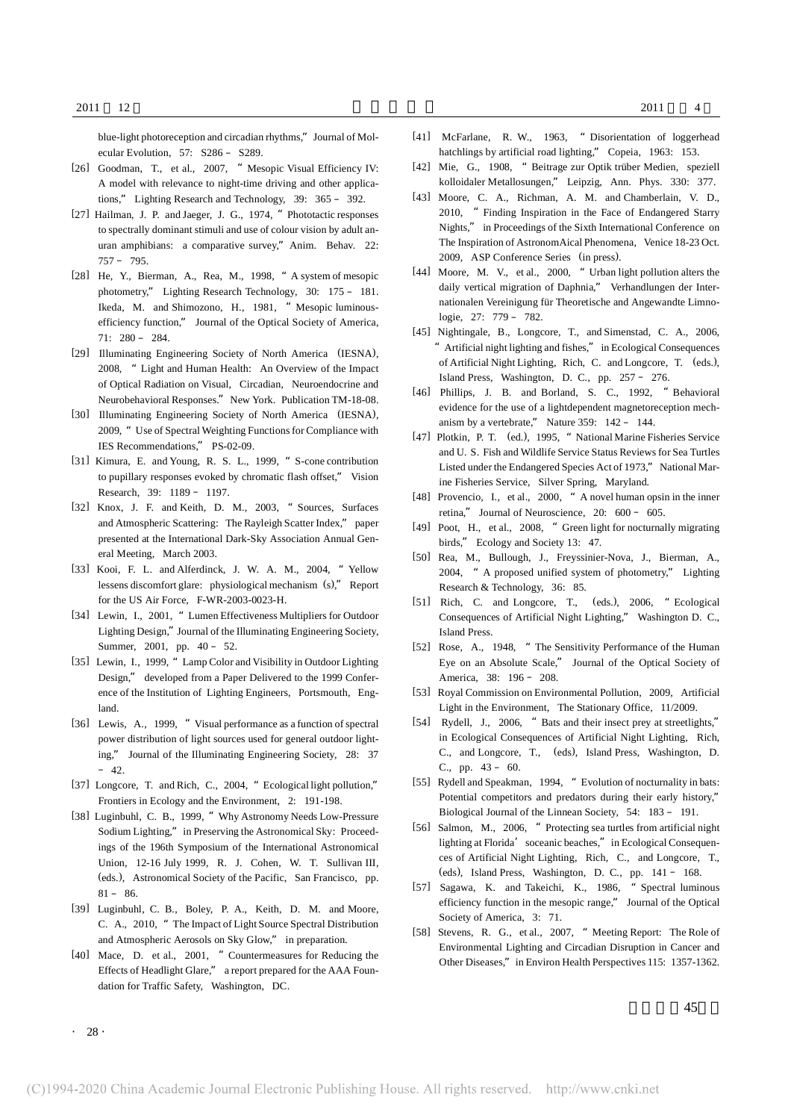blue-light photoreception and circadian rhythms," Journal of Molecular Evolution, 57: S286 – S289.

- [26] Goodman, T., et al., 2007, " Mesopic Visual Efficiency IV: A model with relevance to night-time driving and other applications," Lighting Research and Technology, 39: 365 – 392.
- [27] Hailman, J. P. and Jaeger, J. G., 1974, " Phototactic responses to spectrally dominant stimuli and use of colour vision by adult anuran amphibians: a comparative survey,"Anim. Behav. 22: 757 – 795.
- [28] He, Y., Bierman, A., Rea, M., 1998, "A system of mesopic photometry," Lighting Research Technology, 30: 175 – 181. Ikeda, M. and Shimozono, H., 1981, " Mesopic luminousefficiency function," Journal of the Optical Society of America, 71: 280 – 284.
- [29] Illuminating Engineering Society of North America (IESNA), 2008, "Light and Human Health: An Overview of the Impact of Optical Radiation on Visual, Circadian, Neuroendocrine and Neurobehavioral Responses." New York. Publication TM-18-08.
- [30] Illuminating Engineering Society of North America (IESNA), 2009, " Use of Spectral Weighting Functions for Compliance with IES Recommendations," PS-02-09.
- [31] Kimura, E. and Young, R. S. L., 1999, "S-cone contribution to pupillary responses evoked by chromatic flash offset," Vision Research, 39: 1189 – 1197.
- [32] Knox, J. F. and Keith, D. M., 2003, "Sources, Surfaces and Atmospheric Scattering: The Rayleigh Scatter Index," paper presented at the International Dark-Sky Association Annual General Meeting, March 2003.
- [33] Kooi, F. L. and Alferdinck, J. W. A. M., 2004, "Yellow lessens discomfort glare: physiological mechanism (s)," Report for the US Air Force, F-WR-2003-0023-H.
- [34] Lewin, I., 2001, "Lumen Effectiveness Multipliers for Outdoor Lighting Design,"Journal of the Illuminating Engineering Society, Summer, 2001, pp. 40 – 52.
- [35] Lewin, I., 1999, "Lamp Color and Visibility in Outdoor Lighting Design," developed from a Paper Delivered to the 1999 Conference of the Institution of Lighting Engineers, Portsmouth, England.
- [36] Lewis, A., 1999, "Visual performance as a function of spectral power distribution of light sources used for general outdoor lighting," Journal of the Illuminating Engineering Society, 28: 37  $-42.$
- [37] Longcore, T. and Rich, C., 2004, " Ecological light pollution," Frontiers in Ecology and the Environment, 2: 191-198.
- [38] Luginbuhl, C. B., 1999, "Why Astronomy Needs Low-Pressure Sodium Lighting," in Preserving the Astronomical Sky: Proceedings of the 196th Symposium of the International Astronomical Union, 12-16 July 1999, R. J. Cohen, W. T. Sullivan III, (eds.), Astronomical Society of the Pacific, San Francisco, pp.  $81 - 86$
- [39] Luginbuhl, C. B., Boley, P. A., Keith, D. M. and Moore, C. A., 2010, "The Impact of Light Source Spectral Distribution and Atmospheric Aerosols on Sky Glow," in preparation.
- [40] Mace, D. et al., 2001, " Countermeasures for Reducing the Effects of Headlight Glare," a report prepared for the AAA Foundation for Traffic Safety, Washington, DC.
- [41] McFarlane, R. W., 1963, "Disorientation of loggerhead hatchlings by artificial road lighting," Copeia, 1963: 153.
- [42] Mie, G., 1908, "Beitrage zur Optik trüber Medien, speziell kolloidaler Metallosungen," Leipzig, Ann. Phys. 330: 377.
- [43] Moore, C. A., Richman, A. M. and Chamberlain, V. D., 2010, "Finding Inspiration in the Face of Endangered Starry Nights," in Proceedings of the Sixth International Conference on The Inspiration of AstronomAical Phenomena, Venice 18-23 Oct. 2009, ASP Conference Series (in press).
- [44] Moore, M. V., et al., 2000, " Urban light pollution alters the daily vertical migration of Daphnia," Verhandlungen der Internationalen Vereinigung für Theoretische and Angewandte Limnologie, 27: 779 – 782.
- [45] Nightingale, B., Longcore, T., and Simenstad, C. A., 2006, "Artificial night lighting and fishes," in Ecological Consequences of Artificial Night Lighting, Rich, C. and Longcore, T. (eds.), Island Press, Washington, D. C., pp. 257 – 276.
- [46] Phillips, J. B. and Borland, S. C., 1992, "Behavioral evidence for the use of a lightdependent magnetoreception mechanism by a vertebrate," Nature 359: 142 – 144.
- [47] Plotkin, P. T. (ed.), 1995, "National Marine Fisheries Service and U. S. Fish and Wildlife Service Status Reviewsfor Sea Turtles Listed under the Endangered Species Act of 1973," National Marine Fisheries Service, Silver Spring, Maryland.
- [48] Provencio, I., et al., 2000, " A novel human opsin in the inner retina," Journal of Neuroscience, 20: 600 – 605.
- [49] Poot, H., et al., 2008. " Green light for nocturnally migrating birds," Ecology and Society 13: 47.
- [50] Rea, M., Bullough, J., Freyssinier-Nova, J., Bierman, A., 2004, "A proposed unified system of photometry," Lighting Research & Technology, 36: 85.
- [51] Rich, C. and Longcore, T., (eds.), 2006, "Ecological Consequences of Artificial Night Lighting," Washington D. C., Island Press.
- [52] Rose, A., 1948, "The Sensitivity Performance of the Human Eye on an Absolute Scale," Journal of the Optical Society of America, 38: 196 – 208.
- [53] Royal Commission on Environmental Pollution, 2009, Artificial Light in the Environment, The Stationary Office, 11/2009.
- [54] Rydell, J., 2006, " Bats and their insect prey at streetlights," in Ecological Consequences of Artificial Night Lighting, Rich, C., and Longcore, T., (eds), Island Press, Washington, D. C., pp. 43 – 60.
- [55] Rydell and Speakman, 1994, " Evolution of nocturnality in bats: Potential competitors and predators during their early history," Biological Journal of the Linnean Society, 54: 183 – 191.
- [56] Salmon, M., 2006, "Protecting sea turtles from artificial night lighting at Florida' soceanic beaches," in Ecological Consequences of Artificial Night Lighting, Rich, C., and Longcore, T., (eds), Island Press, Washington, D. C., pp. 141 – 168.
- [57] Sagawa, K. and Takeichi, K., 1986, "Spectral luminous efficiency function in the mesopic range," Journal of the Optical Society of America, 3: 71.
- [58] Stevens, R. G., et al., 2007, " Meeting Report: The Role of Environmental Lighting and Circadian Disruption in Cancer and Other Diseases," in Environ Health Perspectives 115: 1357-1362.

 $. 28.$